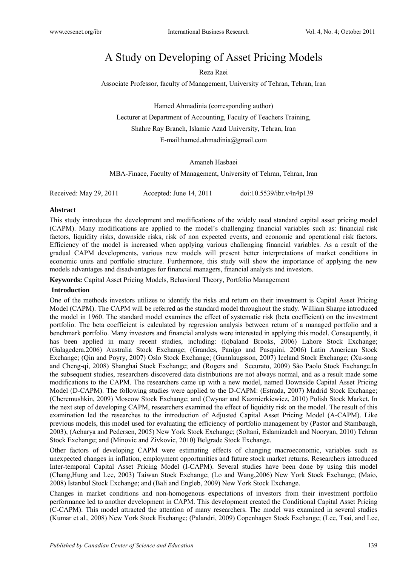# A Study on Developing of Asset Pricing Models

## Reza Raei

Associate Professor, faculty of Management, University of Tehran, Tehran, Iran

Hamed Ahmadinia (corresponding author)

Lecturer at Department of Accounting, Faculty of Teachers Training,

Shahre Ray Branch, Islamic Azad University, Tehran, Iran

E-mail:hamed.ahmadinia@gmail.com

## Amaneh Hasbaei

MBA-Finace, Faculty of Management, University of Tehran, Tehran, Iran

Received: May 29, 2011 Accepted: June 14, 2011 doi:10.5539/ibr.v4n4p139

## **Abstract**

This study introduces the development and modifications of the widely used standard capital asset pricing model (CAPM). Many modifications are applied to the model's challenging financial variables such as: financial risk factors, liquidity risks, downside risks, risk of non expected events, and economic and operational risk factors. Efficiency of the model is increased when applying various challenging financial variables. As a result of the gradual CAPM developments, various new models will present better interpretations of market conditions in economic units and portfolio structure. Furthermore, this study will show the importance of applying the new models advantages and disadvantages for financial managers, financial analysts and investors.

**Keywords:** Capital Asset Pricing Models, Behavioral Theory, Portfolio Management

## **Introduction**

One of the methods investors utilizes to identify the risks and return on their investment is Capital Asset Pricing Model (CAPM). The CAPM will be referred as the standard model throughout the study. William Sharpe introduced the model in 1960. The standard model examines the effect of systematic risk (beta coefficient) on the investment portfolio. The beta coefficient is calculated by regression analysis between return of a managed portfolio and a benchmark portfolio. Many investors and financial analysts were interested in applying this model. Consequently, it has been applied in many recent studies, including: (Iqbaland Brooks, 2006) Lahore Stock Exchange; (Galagedera,2006) Australia Stock Exchange; (Grandes, Panigo and Pasquini, 2006) Latin American Stock Exchange; (Qin and Poyry, 2007) Oslo Stock Exchange; (Gunnlaugsson, 2007) Iceland Stock Exchange; (Xu-song and Cheng-qi, 2008) Shanghai Stock Exchange; and (Rogers and Securato, 2009) São Paolo Stock Exchange.In the subsequent studies, researchers discovered data distributions are not always normal, and as a result made some modifications to the CAPM. The researchers came up with a new model, named Downside Capital Asset Pricing Model (D-CAPM). The following studies were applied to the D-CAPM: (Estrada, 2007) Madrid Stock Exchange; (Cheremushkin, 2009) Moscow Stock Exchange; and (Cwynar and Kazmierkiewicz, 2010) Polish Stock Market. In the next step of developing CAPM, researchers examined the effect of liquidity risk on the model. The result of this examination led the researches to the introduction of Adjusted Capital Asset Pricing Model (A-CAPM). Like previous models, this model used for evaluating the efficiency of portfolio management by (Pastor and Stambaugh, 2003), (Acharya and Pedersen, 2005) New York Stock Exchange; (Soltani, Eslamizadeh and Nooryan, 2010) Tehran Stock Exchange; and (Minovic and Zivkovic, 2010) Belgrade Stock Exchange.

Other factors of developing CAPM were estimating effects of changing macroeconomic, variables such as unexpected changes in inflation, employment opportunities and future stock market returns. Researchers introduced Inter-temporal Capital Asset Pricing Model (I-CAPM). Several studies have been done by using this model (Chang,Hung and Lee, 2003) Taiwan Stock Exchange; (Lo and Wang,2006) New York Stock Exchange; (Maio, 2008) Istanbul Stock Exchange; and (Bali and Engleb, 2009) New York Stock Exchange.

Changes in market conditions and non-homogenous expectations of investors from their investment portfolio performance led to another development in CAPM. This development created the Conditional Capital Asset Pricing (C-CAPM). This model attracted the attention of many researchers. The model was examined in several studies (Kumar et al., 2008) New York Stock Exchange; (Palandri, 2009) Copenhagen Stock Exchange; (Lee, Tsai, and Lee,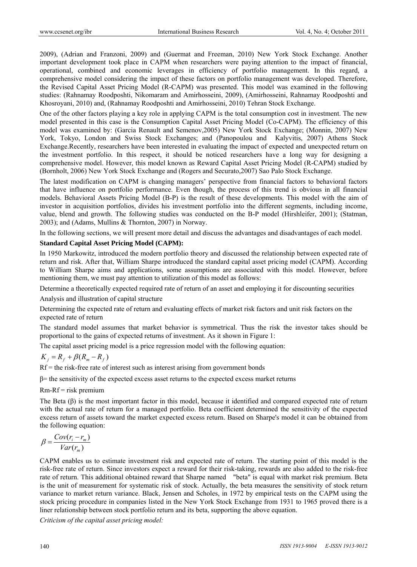2009), (Adrian and Franzoni, 2009) and (Guermat and Freeman, 2010) New York Stock Exchange. Another important development took place in CAPM when researchers were paying attention to the impact of financial, operational, combined and economic leverages in efficiency of portfolio management. In this regard, a comprehensive model considering the impact of these factors on portfolio management was developed. Therefore, the Revised Capital Asset Pricing Model (R-CAPM) was presented. This model was examined in the following studies: (Rahnamay Roodposhti, Nikomaram and Amirhosseini, 2009), (Amirhosseini, Rahnamay Roodposhti and Khosroyani, 2010) and, (Rahnamay Roodposhti and Amirhosseini, 2010) Tehran Stock Exchange.

One of the other factors playing a key role in applying CAPM is the total consumption cost in investment. The new model presented in this case is the Consumption Capital Asset Pricing Model (Co-CAPM). The efficiency of this model was examined by: (Garcia Renault and Semenov,2005) New York Stock Exchange; (Monnin, 2007) New York, Tokyo, London and Swiss Stock Exchanges; and (Panopoulou and Kalyvitis, 2007) Athens Stock Exchange.Recently, researchers have been interested in evaluating the impact of expected and unexpected return on the investment portfolio. In this respect, it should be noticed researchers have a long way for designing a comprehensive model. However, this model known as Reward Capital Asset Pricing Model (R-CAPM) studied by (Bornholt, 2006) New York Stock Exchange and (Rogers and Securato,2007) Sao Palo Stock Exchange.

The latest modification on CAPM is changing managers' perspective from financial factors to behavioral factors that have influence on portfolio performance. Even though, the process of this trend is obvious in all financial models. Behavioral Assets Pricing Model (B-P) is the result of these developments. This model with the aim of investor in acquisition portfolios, divides his investment portfolio into the different segments, including income, value, blend and growth. The following studies was conducted on the B-P model (Hirshleifer, 2001); (Statman, 2003); and (Adams, Mullins & Thornton, 2007) in Norway.

In the following sections, we will present more detail and discuss the advantages and disadvantages of each model.

## **Standard Capital Asset Pricing Model (CAPM):**

In 1950 Markowitz, introduced the modern portfolio theory and discussed the relationship between expected rate of return and risk. After that, William Sharpe introduced the standard capital asset pricing model (CAPM). According to William Sharpe aims and applications, some assumptions are associated with this model. However, before mentioning them, we must pay attention to utilization of this model as follows:

Determine a theoretically expected required rate of return of an asset and employing it for discounting securities

Analysis and illustration of capital structure

Determining the expected rate of return and evaluating effects of market risk factors and unit risk factors on the expected rate of return

The standard model assumes that market behavior is symmetrical. Thus the risk the investor takes should be proportional to the gains of expected returns of investment. As it shown in Figure 1:

The capital asset pricing model is a price regression model with the following equation:

 $K_i = R_f + \beta (R_m - R_f)$ 

 $Rf$  = the risk-free rate of interest such as interest arising from government bonds

 $\beta$ = the sensitivity of the expected excess asset returns to the expected excess market returns

Rm-Rf = risk premium

The Beta (β) is the most important factor in this model, because it identified and compared expected rate of return with the actual rate of return for a managed portfolio. Beta coefficient determined the sensitivity of the expected excess return of assets toward the market expected excess return. Based on Sharpe's model it can be obtained from the following equation:

$$
\beta = \frac{Cov(r_i - r_m)}{Var(r_m)}
$$

CAPM enables us to estimate investment risk and expected rate of return. The starting point of this model is the risk-free rate of return. Since investors expect a reward for their risk-taking, rewards are also added to the risk-free rate of return. This additional obtained reward that Sharpe named "beta" is equal with market risk premium. Beta is the unit of measurement for systematic risk of stock. Actually, the beta measures the sensitivity of stock return variance to market return variance. Black, Jensen and Scholes, in 1972 by empirical tests on the CAPM using the stock pricing procedure in companies listed in the New York Stock Exchange from 1931 to 1965 proved there is a liner relationship between stock portfolio return and its beta, supporting the above equation.

*Criticism of the capital asset pricing model:*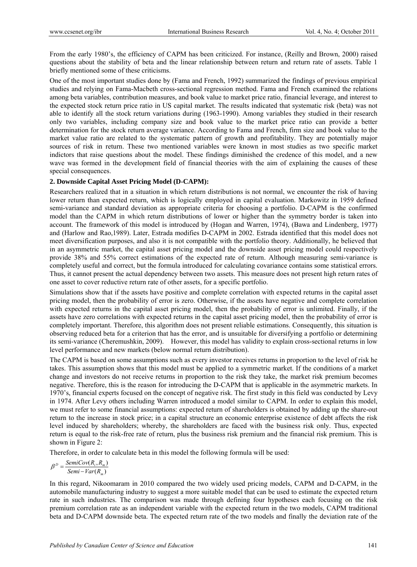From the early 1980's, the efficiency of CAPM has been criticized. For instance, (Reilly and Brown, 2000) raised questions about the stability of beta and the linear relationship between return and return rate of assets. Table 1 briefly mentioned some of these criticisms.

One of the most important studies done by (Fama and French, 1992) summarized the findings of previous empirical studies and relying on Fama-Macbeth cross-sectional regression method. Fama and French examined the relations among beta variables, contribution measures, and book value to market price ratio, financial leverage, and interest to the expected stock return price ratio in US capital market. The results indicated that systematic risk (beta) was not able to identify all the stock return variations during (1963-1990). Among variables they studied in their research only two variables, including company size and book value to the market price ratio can provide a better determination for the stock return average variance. According to Fama and French, firm size and book value to the market value ratio are related to the systematic pattern of growth and profitability. They are potentially major sources of risk in return. These two mentioned variables were known in most studies as two specific market indictors that raise questions about the model. These findings diminished the credence of this model, and a new wave was formed in the development field of financial theories with the aim of explaining the causes of these special consequences.

#### **2. Downside Capital Asset Pricing Model (D-CAPM):**

Researchers realized that in a situation in which return distributions is not normal, we encounter the risk of having lower return than expected return, which is logically employed in capital evaluation. Markowitz in 1959 defined semi-variance and standard deviation as appropriate criteria for choosing a portfolio. D-CAPM is the confirmed model than the CAPM in which return distributions of lower or higher than the symmetry border is taken into account. The framework of this model is introduced by (Hogan and Warren, 1974), (Bawa and Lindenberg, 1977) and (Harlow and Rao,1989). Later, Estrada modifies D-CAPM in 2002. Estrada identified that this model does not meet diversification purposes, and also it is not compatible with the portfolio theory. Additionally, he believed that in an asymmetric market, the capital asset pricing model and the downside asset pricing model could respectively provide 38% and 55% correct estimations of the expected rate of return. Although measuring semi-variance is completely useful and correct, but the formula introduced for calculating covariance contains some statistical errors. Thus, it cannot present the actual dependency between two assets. This measure does not present high return rates of one asset to cover reductive return rate of other assets, for a specific portfolio.

Simulations show that if the assets have positive and complete correlation with expected returns in the capital asset pricing model, then the probability of error is zero. Otherwise, if the assets have negative and complete correlation with expected returns in the capital asset pricing model, then the probability of error is unlimited. Finally, if the assets have zero correlations with expected returns in the capital asset pricing model, then the probability of error is completely important. Therefore, this algorithm does not present reliable estimations. Consequently, this situation is observing reduced beta for a criterion that has the error, and is unsuitable for diversifying a portfolio or determining its semi-variance (Cheremushkin, 2009). However, this model has validity to explain cross-sectional returns in low level performance and new markets (below normal return distribution).

The CAPM is based on some assumptions such as every investor receives returns in proportion to the level of risk he takes. This assumption shows that this model must be applied to a symmetric market. If the conditions of a market change and investors do not receive returns in proportion to the risk they take, the market risk premium becomes negative. Therefore, this is the reason for introducing the D-CAPM that is applicable in the asymmetric markets. In 1970's, financial experts focused on the concept of negative risk. The first study in this field was conducted by Levy in 1974. After Levy others including Warren introduced a model similar to CAPM. In order to explain this model, we must refer to some financial assumptions: expected return of shareholders is obtained by adding up the share-out return to the increase in stock price; in a capital structure an economic enterprise existence of debt affects the risk level induced by shareholders; whereby, the shareholders are faced with the business risk only. Thus, expected return is equal to the risk-free rate of return, plus the business risk premium and the financial risk premium. This is shown in Figure 2:

Therefore, in order to calculate beta in this model the following formula will be used:

$$
\beta^D = \frac{SemiCov(R_i, R_m)}{Semi-Var(R_m)}
$$

In this regard, Nikoomaram in 2010 compared the two widely used pricing models, CAPM and D-CAPM, in the automobile manufacturing industry to suggest a more suitable model that can be used to estimate the expected return rate in such industries. The comparison was made through defining four hypotheses each focusing on the risk premium correlation rate as an independent variable with the expected return in the two models, CAPM traditional beta and D-CAPM downside beta. The expected return rate of the two models and finally the deviation rate of the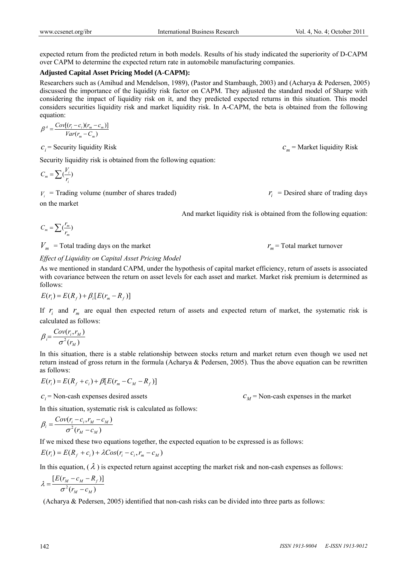expected return from the predicted return in both models. Results of his study indicated the superiority of D-CAPM over CAPM to determine the expected return rate in automobile manufacturing companies.

## **Adjusted Capital Asset Pricing Model (A-CAPM):**

Researchers such as (Amihud and Mendelson, 1989), (Pastor and Stambaugh, 2003) and (Acharya & Pedersen, 2005) discussed the importance of the liquidity risk factor on CAPM. They adjusted the standard model of Sharpe with considering the impact of liquidity risk on it, and they predicted expected returns in this situation. This model considers securities liquidity risk and market liquidity risk. In A-CAPM, the beta is obtained from the following equation:

$$
\beta^A = \frac{Cov[(r_i - c_i)(r_m - c_m)]}{Var(r_m - C_m)}
$$

 $c_n$  = Security liquidity Risk *mc* = Market liquidity Risk *market*  $m_n$  = Market liquidity Risk

Security liquidity risk is obtained from the following equation:

$$
C_m = \sum_{i} \left(\frac{V_i}{r_i}\right)^2
$$

 $V_i$  = Trading volume (number of shares traded)  $V_i$  = Desired share of trading days

on the market

And market liquidity risk is obtained from the following equation:

$$
C_m = \sum \big(\frac{r_m}{r_m}\big)
$$

 $V_m$  = Total trading days on the market *market m*<sup>*m*</sup> = Total market turnover

#### *Effect of Liquidity on Capital Asset Pricing Model*

As we mentioned in standard CAPM, under the hypothesis of capital market efficiency, return of assets is associated with covariance between the return on asset levels for each asset and market. Market risk premium is determined as follows:

$$
E(r_i) = E(R_f) + \beta_i [E(r_m - R_f)]
$$

If  $r_i$  and  $r_m$  are equal then expected return of assets and expected return of market, the systematic risk is calculated as follows:

$$
\beta_i = \frac{Cov(r_i, r_M)}{\sigma^2(r_M)}
$$

In this situation, there is a stable relationship between stocks return and market return even though we used net return instead of gross return in the formula (Acharya & Pedersen, 2005). Thus the above equation can be rewritten as follows:

$$
E(r_i) = E(R_f + c_i) + \beta [E(r_m - C_M - R_f)]
$$

 $c_i$  = Non-cash expenses desired assets  $c_M$  = Non-cash expenses in the market

In this situation, systematic risk is calculated as follows:

$$
\beta_i = \frac{Cov(r_i - c_i, r_M - c_M)}{\sigma^2(r_M - c_M)}
$$

If we mixed these two equations together, the expected equation to be expressed is as follows:

$$
E(r_i) = E(R_f + c_i) + \lambda Cos(r_i - c_i, r_m - c_M)
$$

In this equation,  $(\lambda)$  is expected return against accepting the market risk and non-cash expenses as follows:

$$
\lambda = \frac{[E(r_M - c_M - R_f)]}{\sigma^2(r_M - c_M)}
$$

(Acharya & Pedersen, 2005) identified that non-cash risks can be divided into three parts as follows: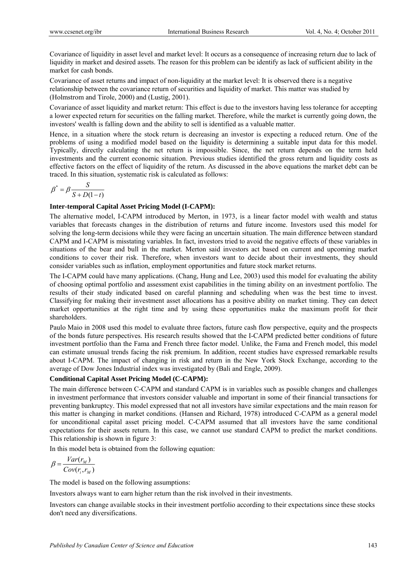Covariance of liquidity in asset level and market level: It occurs as a consequence of increasing return due to lack of liquidity in market and desired assets. The reason for this problem can be identify as lack of sufficient ability in the market for cash bonds.

Covariance of asset returns and impact of non-liquidity at the market level: It is observed there is a negative relationship between the covariance return of securities and liquidity of market. This matter was studied by (Holmstrom and Tirole, 2000) and (Lustig, 2001).

Covariance of asset liquidity and market return: This effect is due to the investors having less tolerance for accepting a lower expected return for securities on the falling market. Therefore, while the market is currently going down, the investors' wealth is falling down and the ability to sell is identified as a valuable matter.

Hence, in a situation where the stock return is decreasing an investor is expecting a reduced return. One of the problems of using a modified model based on the liquidity is determining a suitable input data for this model. Typically, directly calculating the net return is impossible. Since, the net return depends on the term held investments and the current economic situation. Previous studies identified the gross return and liquidity costs as effective factors on the effect of liquidity of the return. As discussed in the above equations the market debt can be traced. In this situation, systematic risk is calculated as follows:

$$
\beta^* = \beta \frac{S}{S + D(1 - t)}
$$

## **Inter-temporal Capital Asset Pricing Model (I-CAPM):**

The alternative model, I-CAPM introduced by Merton, in 1973, is a linear factor model with wealth and status variables that forecasts changes in the distribution of returns and future income. Investors used this model for solving the long-term decisions while they were facing an uncertain situation. The main difference between standard CAPM and I-CAPM is misstating variables. In fact, investors tried to avoid the negative effects of these variables in situations of the bear and bull in the market. Merton said investors act based on current and upcoming market conditions to cover their risk. Therefore, when investors want to decide about their investments, they should consider variables such as inflation, employment opportunities and future stock market returns.

The I-CAPM could have many applications. (Chang, Hung and Lee, 2003) used this model for evaluating the ability of choosing optimal portfolio and assessment exist capabilities in the timing ability on an investment portfolio. The results of their study indicated based on careful planning and scheduling when was the best time to invest. Classifying for making their investment asset allocations has a positive ability on market timing. They can detect market opportunities at the right time and by using these opportunities make the maximum profit for their shareholders.

Paulo Maio in 2008 used this model to evaluate three factors, future cash flow perspective, equity and the prospects of the bonds future perspectives. His research results showed that the I-CAPM predicted better conditions of future investment portfolio than the Fama and French three factor model. Unlike, the Fama and French model, this model can estimate unusual trends facing the risk premium. In addition, recent studies have expressed remarkable results about I-CAPM. The impact of changing in risk and return in the New York Stock Exchange, according to the average of Dow Jones Industrial index was investigated by (Bali and Engle, 2009).

## **Conditional Capital Asset Pricing Model (C-CAPM):**

The main difference between C-CAPM and standard CAPM is in variables such as possible changes and challenges in investment performance that investors consider valuable and important in some of their financial transactions for preventing bankruptcy. This model expressed that not all investors have similar expectations and the main reason for this matter is changing in market conditions. (Hansen and Richard, 1978) introduced C-CAPM as a general model for unconditional capital asset pricing model. C-CAPM assumed that all investors have the same conditional expectations for their assets return. In this case, we cannot use standard CAPM to predict the market conditions. This relationship is shown in figure 3:

In this model beta is obtained from the following equation:

$$
\beta = \frac{Var(r_M)}{Cov(r_i, r_M)}
$$

The model is based on the following assumptions:

Investors always want to earn higher return than the risk involved in their investments.

Investors can change available stocks in their investment portfolio according to their expectations since these stocks don't need any diversifications.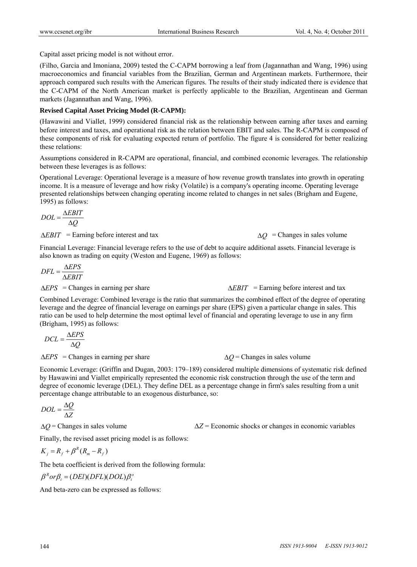Capital asset pricing model is not without error.

(Filho, Garcia and Imoniana, 2009) tested the C-CAPM borrowing a leaf from (Jagannathan and Wang, 1996) using macroeconomics and financial variables from the Brazilian, German and Argentinean markets. Furthermore, their approach compared such results with the American figures. The results of their study indicated there is evidence that the C-CAPM of the North American market is perfectly applicable to the Brazilian, Argentinean and German markets (Jagannathan and Wang, 1996).

## **Revised Capital Asset Pricing Model (R-CAPM):**

(Hawawini and Viallet, 1999) considered financial risk as the relationship between earning after taxes and earning before interest and taxes, and operational risk as the relation between EBIT and sales. The R-CAPM is composed of these components of risk for evaluating expected return of portfolio. The figure 4 is considered for better realizing these relations:

Assumptions considered in R-CAPM are operational, financial, and combined economic leverages. The relationship between these leverages is as follows:

Operational Leverage: Operational leverage is a measure of how revenue growth translates into growth in operating income. It is a measure of leverage and how risky (Volatile) is a company's operating income. Operating leverage presented relationships between changing operating income related to changes in net sales (Brigham and Eugene, 1995) as follows:

$$
DOL = \frac{\Delta EBIT}{\Delta Q}
$$

 $\triangle EBIT$  = Earning before interest and tax  $\triangle O$  = Changes in sales volume

Financial Leverage: Financial leverage refers to the use of debt to acquire additional assets. Financial leverage is also known as trading on equity (Weston and Eugene, 1969) as follows:

$$
DFL = \frac{\Delta EPS}{\Delta EBIT}
$$

 $\triangle EPS$  = Changes in earning per share  $\triangle EBIT$  = Earning before interest and tax

Combined Leverage: Combined leverage is the ratio that summarizes the combined effect of the degree of operating leverage and the degree of financial leverage on earnings per share (EPS) given a particular change in sales. This ratio can be used to help determine the most optimal level of financial and operating leverage to use in any firm (Brigham, 1995) as follows:

$$
DCL = \frac{\Delta EPS}{\Delta Q}
$$

 $\triangle EPS$  = Changes in earning per share  $\triangle O$  = Changes in sales volume

Economic Leverage: (Griffin and Dugan, 2003: 179–189) considered multiple dimensions of systematic risk defined by Hawawini and Viallet empirically represented the economic risk construction through the use of the term and degree of economic leverage (DEL). They define DEL as a percentage change in firm's sales resulting from a unit percentage change attributable to an exogenous disturbance, so:

$$
DOL = \frac{\Delta Q}{\Delta Z}
$$

 $\Delta Q$  = Changes in sales volume  $\Delta Z$  = Economic shocks or changes in economic variables

Finally, the revised asset pricing model is as follows:

$$
K_j = R_f + \beta^R (R_m - R_f)
$$

The beta coefficient is derived from the following formula:

$$
\beta^{R}or\beta_{i}=(DEI)(DFL)(DOL)\beta_{i}^{o}
$$

And beta-zero can be expressed as follows: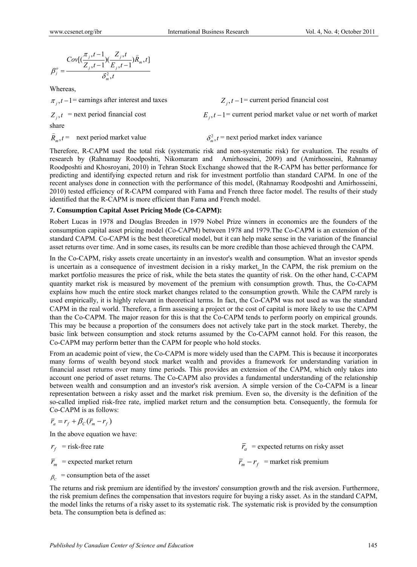$$
\beta_j^o = \frac{Cov[(\frac{\pi_j, t-1}{Z_j, t-1})(\frac{Z_j, t}{E_j, t-1})\hat{R}_m, t]}{\delta_m^2, t}
$$

Whereas,

| $\pi_i$ , $t-1$ = earnings after interest and taxes | $Z_i$ , $t-1$ = current period financial cost                      |
|-----------------------------------------------------|--------------------------------------------------------------------|
| $Z_i$ , $t =$ next period financial cost            | $E_i$ , $t-1$ = current period market value or net worth of market |
| share                                               |                                                                    |
| $\hat{R}_m$ , $t =$ next period market value        | $\delta_{m}^{2}$ , t = next period market index variance           |

Therefore, R-CAPM used the total risk (systematic risk and non-systematic risk) for evaluation. The results of research by (Rahnamay Roodposhti, Nikomaram and Amirhosseini, 2009) and (Amirhosseini, Rahnamay Roodposhti and Khosroyani, 2010) in Tehran Stock Exchange showed that the R-CAPM has better performance for predicting and identifying expected return and risk for investment portfolio than standard CAPM. In one of the recent analyses done in connection with the performance of this model, (Rahnamay Roodposhti and Amirhosseini, 2010) tested efficiency of R-CAPM compared with Fama and French three factor model. The results of their study identified that the R-CAPM is more efficient than Fama and French model.

## **7. Consumption Capital Asset Pricing Mode (Co-CAPM):**

Robert Lucas in 1978 and Douglas Breeden in 1979 Nobel Prize winners in economics are the founders of the consumption capital asset pricing model (Co-CAPM) between 1978 and 1979.The Co-CAPM is an extension of the standard CAPM. Co-CAPM is the best theoretical model, but it can help make sense in the variation of the financial asset returns over time. And in some cases, its results can be more credible than those achieved through the CAPM.

In the Co-CAPM, risky assets create uncertainty in an investor's wealth and consumption. What an investor spends is uncertain as a consequence of investment decision in a risky market. In the CAPM, the risk premium on the market portfolio measures the price of risk, while the beta states the quantity of risk. On the other hand, C-CAPM quantity market risk is measured by movement of the premium with consumption growth. Thus, the Co-CAPM explains how much the entire stock market changes related to the consumption growth. While the CAPM rarely is used empirically, it is highly relevant in theoretical terms. In fact, the Co-CAPM was not used as was the standard CAPM in the real world. Therefore, a firm assessing a project or the cost of capital is more likely to use the CAPM than the Co-CAPM. The major reason for this is that the Co-CAPM tends to perform poorly on empirical grounds. This may be because a proportion of the consumers does not actively take part in the stock market. Thereby, the basic link between consumption and stock returns assumed by the Co-CAPM cannot hold. For this reason, the Co-CAPM may perform better than the CAPM for people who hold stocks.

From an academic point of view, the Co-CAPM is more widely used than the CAPM. This is because it incorporates many forms of wealth beyond stock market wealth and provides a framework for understanding variation in financial asset returns over many time periods. This provides an extension of the CAPM, which only takes into account one period of asset returns. The Co-CAPM also provides a fundamental understanding of the relationship between wealth and consumption and an investor's risk aversion. A simple version of the Co-CAPM is a linear representation between a risky asset and the market risk premium. Even so, the diversity is the definition of the so-called implied risk-free rate, implied market return and the consumption beta. Consequently, the formula for Co-CAPM is as follows:

$$
\bar{r}_a = r_f + \beta_C (\bar{r}_m - r_f)
$$

In the above equation we have:

| $r_f$ = risk-free rate                    | $\overline{r}_a$ = expected returns on risky asset |
|-------------------------------------------|----------------------------------------------------|
| $\overline{r}_m$ = expected market return | $\overline{r}_m - r_f$ = market risk premium       |
| $\beta_c$ = consumption beta of the asset |                                                    |

The returns and risk premium are identified by the investors' consumption growth and the risk aversion. Furthermore, the risk premium defines the compensation that investors require for buying a risky asset. As in the standard CAPM, the model links the returns of a risky asset to its systematic risk. The systematic risk is provided by the consumption beta. The consumption beta is defined as: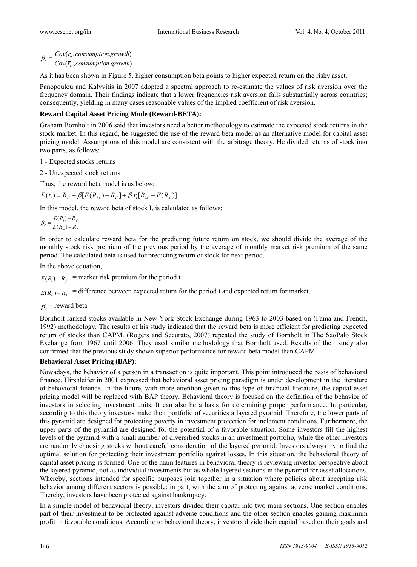$(\bar{r}_a, consumption, growth)$  $Cov(\bar{r}_a, consumption, growth)$  $\beta_c = \frac{\text{Cov}(r_a)}{\text{Cov}(\bar{r}_m)}$ 

 $(\bar{r}_m, consumption, growth)$  $Cov(\bar{r}_m, consumption,$ 

As it has been shown in Figure 5, higher consumption beta points to higher expected return on the risky asset.

Panopoulou and Kalyvitis in 2007 adopted a spectral approach to re-estimate the values of risk aversion over the frequency domain. Their findings indicate that a lower frequencies risk aversion falls substantially across countries; consequently, yielding in many cases reasonable values of the implied coefficient of risk aversion.

## **Reward Capital Asset Pricing Mode (Reward-BETA):**

Graham Bornholt in 2006 said that investors need a better methodology to estimate the expected stock returns in the stock market. In this regard, he suggested the use of the reward beta model as an alternative model for capital asset pricing model. Assumptions of this model are consistent with the arbitrage theory. He divided returns of stock into two parts, as follows:

1 - Expected stocks returns

2 - Unexpected stock returns

Thus, the reward beta model is as below:

 $E(r_i) = R_F + \beta [E(R_M) - R_F] + \beta r_i [R_M - E(R_m)]$ 

In this model, the reward beta of stock I, is calculated as follows:

$$
\beta_r = \frac{E(R_i) - R_f}{E(R_m) - R_f}
$$

In order to calculate reward beta for the predicting future return on stock, we should divide the average of the monthly stock risk premium of the previous period by the average of monthly market risk premium of the same period. The calculated beta is used for predicting return of stock for next period.

In the above equation,

 $E(R_i) - R_i$  = market risk premium for the period t

 $E(R_m) - R_f$  = difference between expected return for the period t and expected return for market.

 $\beta_r$  = reward beta

Bornholt ranked stocks available in New York Stock Exchange during 1963 to 2003 based on (Fama and French, 1992) methodology. The results of his study indicated that the reward beta is more efficient for predicting expected return of stocks than CAPM. (Rogers and Securato, 2007) repeated the study of Bornholt in The SaoPalo Stock Exchange from 1967 until 2006. They used similar methodology that Bornholt used. Results of their study also confirmed that the previous study shown superior performance for reward beta model than CAPM.

## **Behavioral Asset Pricing (BAP):**

Nowadays, the behavior of a person in a transaction is quite important. This point introduced the basis of behavioral finance. Hirshleifer in 2001 expressed that behavioral asset pricing paradigm is under development in the literature of behavioral finance. In the future, with more attention given to this type of financial literature, the capital asset pricing model will be replaced with BAP theory. Behavioral theory is focused on the definition of the behavior of investors in selecting investment units. It can also be a basis for determining proper performance. In particular, according to this theory investors make their portfolio of securities a layered pyramid. Therefore, the lower parts of this pyramid are designed for protecting poverty in investment protection for inclement conditions. Furthermore, the upper parts of the pyramid are designed for the potential of a favorable situation. Some investors fill the highest levels of the pyramid with a small number of diversified stocks in an investment portfolio, while the other investors are randomly choosing stocks without careful consideration of the layered pyramid. Investors always try to find the optimal solution for protecting their investment portfolio against losses. In this situation, the behavioral theory of capital asset pricing is formed. One of the main features in behavioral theory is reviewing investor perspective about the layered pyramid, not as individual investments but as whole layered sections in the pyramid for asset allocations. Whereby, sections intended for specific purposes join together in a situation where policies about accepting risk behavior among different sectors is possible; in part, with the aim of protecting against adverse market conditions. Thereby, investors have been protected against bankruptcy.

In a simple model of behavioral theory, investors divided their capital into two main sections. One section enables part of their investment to be protected against adverse conditions and the other section enables gaining maximum profit in favorable conditions. According to behavioral theory, investors divide their capital based on their goals and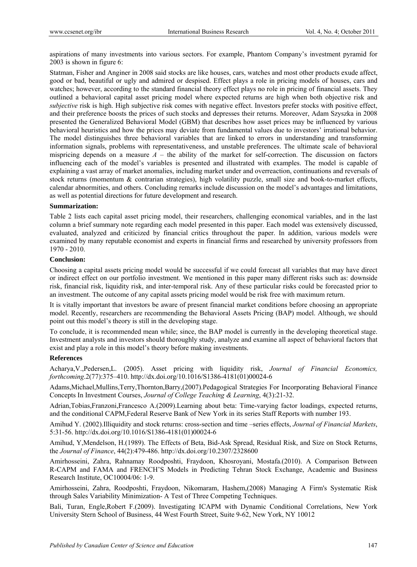aspirations of many investments into various sectors. For example, Phantom Company's investment pyramid for 2003 is shown in figure 6:

Statman, Fisher and Anginer in 2008 said stocks are like houses, cars, watches and most other products exude affect, good or bad, beautiful or ugly and admired or despised. Effect plays a role in pricing models of houses, cars and watches; however, according to the standard financial theory effect plays no role in pricing of financial assets. They outlined a behavioral capital asset pricing model where expected returns are high when both objective risk and *subjective* risk is high. High subjective risk comes with negative effect. Investors prefer stocks with positive effect, and their preference boosts the prices of such stocks and depresses their returns. Moreover, Adam Szyszka in 2008 presented the Generalized Behavioral Model (GBM) that describes how asset prices may be influenced by various behavioral heuristics and how the prices may deviate from fundamental values due to investors' irrational behavior. The model distinguishes three behavioral variables that are linked to errors in understanding and transforming information signals, problems with representativeness, and unstable preferences. The ultimate scale of behavioral mispricing depends on a measure  $A$  – the ability of the market for self-correction. The discussion on factors influencing each of the model's variables is presented and illustrated with examples. The model is capable of explaining a vast array of market anomalies, including market under and overreaction, continuations and reversals of stock returns (momentum & contrarian strategies), high volatility puzzle, small size and book-to-market effects, calendar abnormities, and others. Concluding remarks include discussion on the model's advantages and limitations, as well as potential directions for future development and research.

#### **Summarization:**

Table 2 lists each capital asset pricing model, their researchers, challenging economical variables, and in the last column a brief summary note regarding each model presented in this paper. Each model was extensively discussed, evaluated, analyzed and criticized by financial critics throughout the paper. In addition, various models were examined by many reputable economist and experts in financial firms and researched by university professors from 1970 - 2010.

## **Conclusion:**

Choosing a capital assets pricing model would be successful if we could forecast all variables that may have direct or indirect effect on our portfolio investment. We mentioned in this paper many different risks such as: downside risk, financial risk, liquidity risk, and inter-temporal risk. Any of these particular risks could be forecasted prior to an investment. The outcome of any capital assets pricing model would be risk free with maximum return.

It is vitally important that investors be aware of present financial market conditions before choosing an appropriate model. Recently, researchers are recommending the Behavioral Assets Pricing (BAP) model. Although, we should point out this model's theory is still in the developing stage.

To conclude, it is recommended mean while; since, the BAP model is currently in the developing theoretical stage. Investment analysts and investors should thoroughly study, analyze and examine all aspect of behavioral factors that exist and play a role in this model's theory before making investments.

## **References**

Acharya,V.,Pedersen,L. (2005). Asset pricing with liquidity risk, *Journal of Financial Economics, forthcoming*.2(77):375–410. http://dx.doi.org/10.1016/S1386-4181(01)00024-6

Adams,Michael,Mullins,Terry,Thornton,Barry,(2007).Pedagogical Strategies For Incorporating Behavioral Finance Concepts In Investment Courses, *Journal of College Teaching & Learning*, 4(3):21-32.

Adrian,Tobias,Franzoni,Francesco A.(2009).Learning about beta: Time-varying factor loadings, expected returns, and the conditional CAPM,Federal Reserve Bank of New York in its series Staff Reports with number 193.

Amihud Y. (2002).Illiquidity and stock returns: cross-section and time –series effects, *Journal of Financial Markets*, 5:31-56. http://dx.doi.org/10.1016/S1386-4181(01)00024-6

Amihud, Y,Mendelson, H.(1989). The Effects of Beta, Bid-Ask Spread, Residual Risk, and Size on Stock Returns, the *Journal of Finance*, 44(2):479-486. http://dx.doi.org/10.2307/2328600

Amirhosseini, Zahra, Rahnamay Roodposhti, Fraydoon, Khosroyani, Mostafa.(2010). A Comparison Between R-CAPM and FAMA and FRENCH'S Models in Predicting Tehran Stock Exchange, Academic and Business Research Institute, OC10004/06: 1-9.

Amirhosseini, Zahra, Roodposhti, Fraydoon, Nikomaram, Hashem,(2008) Managing A Firm's Systematic Risk through Sales Variability Minimization- A Test of Three Competing Techniques.

Bali, Turan, Engle,Robert F.(2009). Investigating ICAPM with Dynamic Conditional Correlations, New York University Stern School of Business, 44 West Fourth Street, Suite 9-62, New York, NY 10012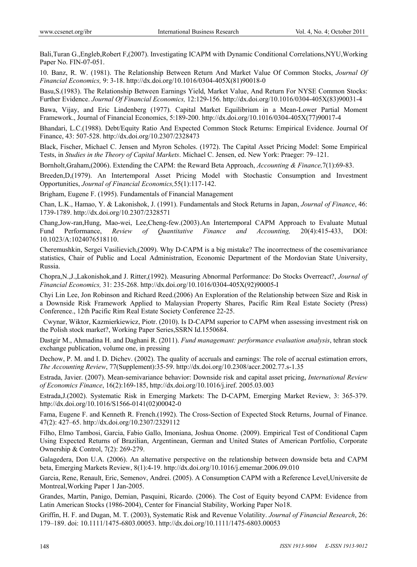Bali,Turan G.,Engleb,Robert F,(2007). Investigating ICAPM with Dynamic Conditional Correlations,NYU,Working Paper No. FIN-07-051.

10. Banz, R. W. (1981). The Relationship Between Return And Market Value Of Common Stocks, *Journal Of Financial Economics,* 9: 3-18. http://dx.doi.org/10.1016/0304-405X(81)90018-0

Basu,S.(1983). The Relationship Between Earnings Yield, Market Value, And Return For NYSE Common Stocks: Further Evidence. *Journal Of Financial Economics,* 12:129-156. http://dx.doi.org/10.1016/0304-405X(83)90031-4

Bawa, Vijay, and Eric Lindenberg (1977). Capital Market Equilibrium in a Mean-Lower Partial Moment Framework., Journal of Financial Economics, 5:189-200. http://dx.doi.org/10.1016/0304-405X(77)90017-4

Bhandari, L.C.(1988). Debt/Equity Ratio And Expected Common Stock Returns: Empirical Evidence. Journal Of Finance, 43: 507-528. http://dx.doi.org/10.2307/2328473

Black, Fischer, Michael C. Jensen and Myron Scholes. (1972). The Capital Asset Pricing Model: Some Empirical Tests, in *Studies in the Theory of Capital Markets*. Michael C. Jensen, ed. New York: Praeger: 79–121.

Bornholt,Graham,(2006). Extending the CAPM: the Reward Beta Approach, *Accounting & Finance,*7(1):69-83.

Breeden,D,(1979). An Intertemporal Asset Pricing Model with Stochastic Consumption and Investment Opportunities, *Journal of Financial Economics,*55(1):117-142.

Brigham, Eugene F. (1995). Fundamentals of Financial Management

Chan, L.K., Hamao, Y. & Lakonishok, J. (1991). Fundamentals and Stock Returns in Japan, *Journal of Finance*, 46: 1739-1789. http://dx.doi.org/10.2307/2328571

Chang,Jow-ran,Hung, Mao-wei, Lee,Cheng-few.(2003).An Intertemporal CAPM Approach to Evaluate Mutual Fund Performance, *Review of Quantitative Finance and Accounting,* 20(4):415-433, DOI: 10.1023/A:1024076518110.

Cheremushkin, Sergei Vasilievich,(2009). Why D-CAPM is a big mistake? The incorrectness of the cosemivariance statistics, Chair of Public and Local Administration, Economic Department of the Mordovian State University, Russia.

Chopra,N.,J.,Lakonishok,and J. Ritter,(1992). Measuring Abnormal Performance: Do Stocks Overreact?, *Journal of Financial Economics,* 31: 235-268. http://dx.doi.org/10.1016/0304-405X(92)90005-I

Chyi Lin Lee, Jon Robinson and Richard Reed.(2006) An Exploration of the Relationship between Size and Risk in a Downside Risk Framework Applied to Malaysian Property Shares, Pacific Rim Real Estate Society (Press) Conference., 12th Pacific Rim Real Estate Society Conference 22-25.

 Cwynar, Wiktor, Kazmierkiewicz, Piotr. (2010). Is D-CAPM superior to CAPM when assessing investment risk on the Polish stock market?, Working Paper Series,SSRN Id.1550684.

Dastgir M., Ahmadina H. and Daghani R. (2011). *Fund managemant: performance evaluation analysis*, tehran stock exchange publication, volume one, in pressing

Dechow, P. M. and I. D. Dichev. (2002). The quality of accruals and earnings: The role of accrual estimation errors, *The Accounting Review*, 77(Supplement):35-59. http://dx.doi.org/10.2308/accr.2002.77.s-1.35

Estrada, Javier. (2007). Mean-semivariance behavior: Downside risk and capital asset pricing, *International Review of Economics Finance*, 16(2):169-185, http://dx.doi.org/10.1016/j.iref. 2005.03.003

Estrada,J.(2002). Systematic Risk in Emerging Markets: The D-CAPM, Emerging Market Review, 3: 365-379. http://dx.doi.org/10.1016/S1566-0141(02)00042-0

Fama, Eugene F. and Kenneth R. French.(1992). The Cross-Section of Expected Stock Returns, Journal of Finance. 47(2): 427–65. http://dx.doi.org/10.2307/2329112

Filho, Elmo Tambosi, Garcia, Fabio Gallo, Imoniana, Joshua Onome. (2009). Empirical Test of Conditional Capm Using Expected Returns of Brazilian, Argentinean, German and United States of American Portfolio, Corporate Ownership & Control, 7(2): 269-279.

Galagedera, Don U.A. (2006). An alternative perspective on the relationship between downside beta and CAPM beta, Emerging Markets Review, 8(1):4-19. http://dx.doi.org/10.1016/j.ememar.2006.09.010

Garcia, Rene, Renault, Eric, Semenov, Andrei. (2005). A Consumption CAPM with a Reference Level,Universite de Montreal,Working Paper 1 Jan-2005.

Grandes, Martin, Panigo, Demian, Pasquini, Ricardo. (2006). The Cost of Equity beyond CAPM: Evidence from Latin American Stocks (1986-2004), Center for Financial Stability, Working Paper No18.

Griffin, H. F. and Dugan, M. T. (2003), Systematic Risk and Revenue Volatility. *Journal of Financial Research*, 26: 179–189. doi: 10.1111/1475-6803.00053. http://dx.doi.org/10.1111/1475-6803.00053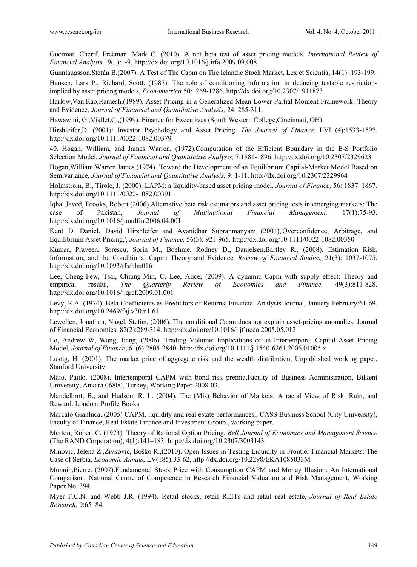Guermat, Cherif, Freeman, Mark C. (2010). A net beta test of asset pricing models, *International Review of Financial Analysis,*19(1):1-9. http://dx.doi.org/10.1016/j.irfa.2009.09.008

Gunnlaugsson,Stefán B.(2007). A Test of The Capm on The Iclandic Stock Market, Lex et Scientia, 14(1): 193-199.

Hansen, Lars P., Richard, Scott. (1987). The role of conditioning information in deducing testable restrictions implied by asset pricing models, *Econometrica* 50:1269-1286. http://dx.doi.org/10.2307/1911873

Harlow,Van,Rao,Ramesh.(1989). Asset Pricing in a Generalized Mean-Lower Partial Moment Framework: Theory and Evidence, *Journal of Financial and Quantitative Analysis,* 24: 285-311.

Hawawini, G.,Viallet,C.,(1999). Finance for Executives (South Western College,Cincinnati, OH)

Hirshleifer,D. (2001): Investor Psychology and Asset Pricing. *The Journal of Finance*, LVI (4):1533-1597. http://dx.doi.org/10.1111/0022-1082.00379

40. Hogan, William, and James Warren, (1972).Computation of the Efficient Boundary in the E-S Portfolio Selection Model. *Journal of Financial and Quantitative Analysis,* 7:1881-1896. http://dx.doi.org/10.2307/2329623

Hogan,William,Warren,James.(1974). Toward the Development of an Equilibrium Capital-Market Model Based on Semivariance, *Journal of Financial and Quantitative Analysis,* 9: 1-11. http://dx.doi.org/10.2307/2329964

Holmstrom, B., Tirole, J. (2000). LAPM: a liquidity-based asset pricing model, *Journal of Finance,* 56: 1837–1867. http://dx.doi.org/10.1111/0022-1082.00391

Iqbal,Javed, Brooks, Robert.(2006).Alternative beta risk estimators and asset pricing tests in emerging markets: The case of Pakistan, *Journal of Multinational Financial Management,* 17(1):75-93. http://dx.doi.org/10.1016/j.mulfin.2006.04.001

Kent D. Daniel, David Hirshleifer and Avanidhar Subrahmanyam (2001),'Overconfidence, Arbitrage, and Equilibrium Asset Pricing,', *Journal of Finance,* 56(3): 921-965. http://dx.doi.org/10.1111/0022-1082.00350

Kumar, Praveen, Sorescu, Sorin M., Boehme, Rodney D., Danielsen,Bartley R., (2008). Estimation Risk, Information, and the Conditional Capm: Theory and Evidence, *Review of Financial Studies,* 21(3): 1037-1075. http://dx.doi.org/10.1093/rfs/hhn016

Lee, Cheng-Few, Tsai, Chiung-Min, C. Lee, Alice, (2009). A dynamic Capm with supply effect: Theory and empirical results, *The Quarterly Review of Economics and Finance,* 49(3):811-828. http://dx.doi.org/10.1016/j.qref.2009.01.001

Levy, R.A. (1974). Beta Coefficients as Predictors of Returns, Financial Analysts Journal, January-February:61-69. http://dx.doi.org/10.2469/faj.v30.n1.61

Lewellen, Jonathan, Nagel, Stefan, (2006). The conditional Capm does not explain asset-pricing anomalies, Journal of Financial Economics, 82(2):289-314. http://dx.doi.org/10.1016/j.jfineco.2005.05.012

Lo, Andrew W, Wang, Jiang, (2006). Trading Volume: Implications of an Intertemporal Capital Asset Pricing Model, *Journal of Finance*, 61(6):2805-2840. http://dx.doi.org/10.1111/j.1540-6261.2006.01005.x

Lustig, H. (2001). The market price of aggregate risk and the wealth distribution, Unpublished working paper, Stanford University.

Maio, Paulo. (2008). Intertemporal CAPM with bond risk premia,Faculty of Business Administration, Bilkent University, Ankara 06800, Turkey, Working Paper 2008-03.

Mandelbrot, B., and Hudson, R. L. (2004). The (Mis) Behavior of Markets: A ractal View of Risk, Ruin, and Reward. London: Profile Books.

Marcato Gianluca. (2005) CAPM, liquidity and real estate performances,, CASS Business School (City University), Faculty of Finance, Real Estate Finance and Investment Group., working paper.

Merton, Robert C. (1973). Theory of Rational Option Pricing. *Bell Journal of Economics and Management Science* (The RAND Corporation), 4(1):141–183, http://dx.doi.org/10.2307/3003143

Minovic, Jelena Z.,Zivkovic, Boško R.,(2010). Open Issues in Testing Liquidity in Frontier Financial Markets: The Case of Serbia, *Economic Annals*, LV(185):33-62, http://dx.doi.org/10.2298/EKA1085033M

Monnin,Pierre. (2007).Fundamental Stock Price with Consumption CAPM and Money Illusion: An International Comparison, National Centre of Competence in Research Financial Valuation and Risk Management, Working Paper No. 394.

Myer F.C.N. and Webb J.R. (1994). Retail stocks, retail REITs and retail real estate, *Journal of Real Estate Research,* 9:65–84.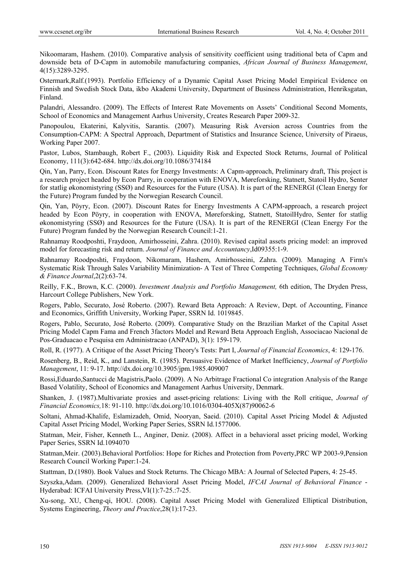Nikoomaram, Hashem. (2010). Comparative analysis of sensitivity coefficient using traditional beta of Capm and downside beta of D-Capm in automobile manufacturing companies, *African Journal of Business Management*, 4(15):3289-3295.

Ostermark,Ralf.(1993). Portfolio Efficiency of a Dynamic Capital Asset Pricing Model Empirical Evidence on Finnish and Swedish Stock Data, ikbo Akademi University, Department of Business Administration, Henriksgatan, Finland.

Palandri, Alessandro. (2009). The Effects of Interest Rate Movements on Assets' Conditional Second Moments, School of Economics and Management Aarhus University, Creates Research Paper 2009-32.

Panopoulou, Ekaterini, Kalyvitis, Sarantis. (2007). Measuring Risk Aversion across Countries from the Consumption-CAPM: A Spectral Approach, Department of Statistics and Insurance Science, University of Piraeus, Working Paper 2007.

Pastor, Lubos, Stambaugh, Robert F., (2003). Liquidity Risk and Expected Stock Returns, Journal of Political Economy, 111(3):642-684. http://dx.doi.org/10.1086/374184

Qin, Yan, Parry, Econ. Discount Rates for Energy Investments: A Capm-approach, Preliminary draft, This project is a research project headed by Econ Parry, in cooperation with ENOVA, Møreforsking, Statnett, Statoil Hydro, Senter for statlig økonomistyring (SSØ) and Resources for the Future (USA). It is part of the RENERGI (Clean Energy for the Future) Program funded by the Norwegian Research Council.

Qin, Yan, Pöyry, Econ. (2007). Discount Rates for Energy Investments A CAPM-approach, a research project headed by Econ Pöyry, in cooperation with ENOVA, Møreforsking, Statnett, StatoilHydro, Senter for statlig økonomistyring (SSØ) and Resources for the Future (USA). It is part of the RENERGI (Clean Energy For the Future) Program funded by the Norwegian Research Council:1-21.

Rahnamay Roodposhti, Fraydoon, Amirhosseini, Zahra. (2010). Revised capital assets pricing model: an improved model for forecasting risk and return. *Journal of Finance and Accountancy*,Id09355:1-9.

Rahnamay Roodposhti, Fraydoon, Nikomaram, Hashem, Amirhosseini, Zahra. (2009). Managing A Firm's Systematic Risk Through Sales Variability Minimization- A Test of Three Competing Techniques, *Global Economy & Finance Journal*,2(2):63-74.

Reilly, F.K., Brown, K.C. (2000). *Investment Analysis and Portfolio Management,* 6th edition, The Dryden Press, Harcourt College Publishers, New York.

Rogers, Pablo, Securato, José Roberto. (2007). Reward Beta Approach: A Review, Dept. of Accounting, Finance and Economics, Griffith University, Working Paper, SSRN Id. 1019845.

Rogers, Pablo, Securato, José Roberto. (2009). Comparative Study on the Brazilian Market of the Capital Asset Pricing Model Capm Fama and French 3factors Model and Reward Beta Approach English, Associacao Nacional de Pos-Graduacao e Pesquisa em Administracao (ANPAD), 3(1): 159-179.

Roll, R. (1977). A Critique of the Asset Pricing Theory's Tests: Part I, *Journal of Financial Economics*, 4: 129-176.

Rosenberg, B., Reid, K., and Lanstein, R. (1985). Persuasive Evidence of Market Inefficiency, *Journal of Portfolio Management*, 11: 9-17. http://dx.doi.org/10.3905/jpm.1985.409007

Rossi,Eduardo,Santucci de Magistris,Paolo. (2009). A No Arbitrage Fractional Co integration Analysis of the Range Based Volatility, School of Economics and Management Aarhus University, Denmark.

Shanken, J. (1987).Multivariate proxies and asset-pricing relations: Living with the Roll critique, *Journal of Financial Economics,*18: 91-110. http://dx.doi.org/10.1016/0304-405X(87)90062-6

Soltani, Ahmad-Khalife, Eslamizadeh, Omid, Nooryan, Saeid. (2010). Capital Asset Pricing Model & Adjusted Capital Asset Pricing Model, Working Paper Series, SSRN Id.1577006.

Statman, Meir, Fisher, Kenneth L., Anginer, Deniz. (2008). Affect in a behavioral asset pricing model, Working Paper Series, SSRN Id.1094070

Statman,Meir. (2003).Behavioral Portfolios: Hope for Riches and Protection from Poverty,PRC WP 2003-9,Pension Research Council Working Paper:1-24.

Stattman, D.(1980). Book Values and Stock Returns. The Chicago MBA: A Journal of Selected Papers, 4: 25-45.

Szyszka,Adam. (2009). Generalized Behavioral Asset Pricing Model, *IFCAI Journal of Behavioral Finance* - Hyderabad: ICFAI University Press,VI(1):7-25.:7-25.

Xu-song, XU, Cheng-qi, HOU. (2008). Capital Asset Pricing Model with Generalized Elliptical Distribution, Systems Engineering, *Theory and Practice*,28(1):17-23.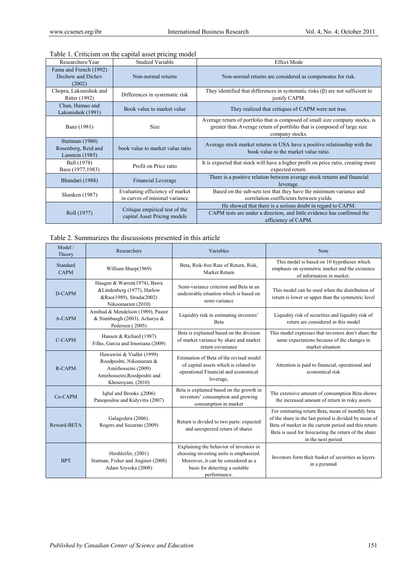| Table 1. Criticism on the capital asset pricing model |  |  |  |
|-------------------------------------------------------|--|--|--|
|                                                       |  |  |  |

| Researchers/Year                                          | <b>Studied Variable</b>                                          | <b>Effect Mode</b>                                                                                                                                                          |
|-----------------------------------------------------------|------------------------------------------------------------------|-----------------------------------------------------------------------------------------------------------------------------------------------------------------------------|
| Fama and French (1992)<br>Dechow and Dichev<br>(2002)     | Non-normal returns                                               | Non-normal returns are considered as compensates for risk.                                                                                                                  |
| Chopra, Lakonishok and<br>Ritter (1992)                   | Differences in systematic risk                                   | They identified that differences in systematic risks $(\beta)$ are not sufficient to<br>justify CAPM.                                                                       |
| Chan, Hamao and<br>Lakonishok (1991)                      | Book value to market value                                       | They realized that critiques of CAPM were not true.                                                                                                                         |
| Banz (1981)                                               | Size                                                             | Average return of portfolio that is composed of small size company stocks, is<br>greater than Average return of portfolio that is composed of large size<br>company stocks. |
| Stattman (1980)<br>Rosenberg, Reid and<br>Lanstein (1985) | book value to market value ratio                                 | Average stock market returns in USA have a positive relationship with the<br>book value to the market value ratio.                                                          |
| Ball (1978)<br>Basu (1977,1983)                           | Profit on Price ratio                                            | It is expected that stock will have a higher profit on price ratio, creating more<br>expected return.                                                                       |
| Bhandari (1988)                                           | <b>Financial Leverage</b>                                        | There is a positive relation between average stock returns and financial<br>leverage.                                                                                       |
| Shanken (1987)                                            | Evaluating efficiency of market<br>in curves of minimal variance | Based on the sub-sets test that they have the minimum variance and<br>correlation coefficients between yields.                                                              |
| Roll (1977)                                               | Critique empirical test of the<br>capital Asset Pricing models   | He showed that there is a serious doubt in regard to CAPM.<br>CAPM tests are under a direction, and little evidence has confirmed the<br>efficiency of CAPM.                |

## Table 2. Summarizes the discussions presented in this article

| Model /<br>Theory       | Researchers                                                                                                                       | Variables                                                                                                                                                                   | Note                                                                                                                                                                                                                                            |
|-------------------------|-----------------------------------------------------------------------------------------------------------------------------------|-----------------------------------------------------------------------------------------------------------------------------------------------------------------------------|-------------------------------------------------------------------------------------------------------------------------------------------------------------------------------------------------------------------------------------------------|
| Standard<br><b>CAPM</b> | William Sharp(1969)                                                                                                               | Beta, Risk-free Rate of Return, Risk,<br>Market Return                                                                                                                      | This model is based on 10 hypotheses which<br>emphasis on symmetric market and the existence<br>of information in market.                                                                                                                       |
| D-CAPM                  | Haugen & Warren(1974), Bawa<br>&Lindenberg (1977), Harlow<br>&Rao(1989), Strada(2002)<br>Nikoomaram (2010)                        | Semi-variance criterion and Beta in an<br>undesirable situation which is based on<br>semi-variance                                                                          | This model can be used when the distribution of<br>return is lower or upper than the symmetric level                                                                                                                                            |
| A-CAPM                  | Amihud & Mendelson (1989), Pastor<br>& Stambaugh (2003). Acharya &<br>Pedersen (2005)                                             | Liquidity risk in estimating investors'<br>Beta                                                                                                                             | Liquidity risk of securities and liquidity risk of<br>return are considered in this model                                                                                                                                                       |
| <b>C-CAPM</b>           | Hansen & Richard (1987)<br>Filho, Garcia and Imoniana (2009)                                                                      | Beta is explained based on the division<br>of market variance by share and market<br>return covariance                                                                      | This model expresses that investors don't share the<br>same expectations because of the changes in<br>market situation                                                                                                                          |
| <b>R-CAPM</b>           | Hawawini & Viallet (1999)<br>Roodposhti, Nikomaram &<br>Amirhosseini (2009)<br>Amirhosseini, Roodposhti and<br>Khosroyani, (2010) | Estimation of Beta of the revised model<br>of capital assets which is related to<br>operational Financial and economical<br>leverage,                                       | Attention is paid to financial, operational and<br>economical risk                                                                                                                                                                              |
| $Co-CAPM$               | Iqbal and Brooks ,(2006)<br>Panopoulou and Kalyvitis (2007)                                                                       | Beta is explained based on the growth in<br>inventors' consumption and growing<br>consumption in market                                                                     | The extensive amount of consumption Beta shows<br>the increased amount of return in risky assets                                                                                                                                                |
| Reward-BETA             | Galagedera (2006).<br>Rogers and Securato (2009)                                                                                  | Return is divided to two parts: expected<br>and unexpected return of shares                                                                                                 | For estimating return Beta, mean of monthly beta<br>of the share in the last period is divided by mean of<br>Beta of market in the current period and this return<br>Beta is used for forecasting the return of the share<br>in the next period |
| <b>BPT</b>              | Hirshleifer, (2001)<br>Statman, Fisher and Anginer (2008)<br>Adam Szyszka (2008)                                                  | Explaining the behavior of investors in<br>choosing investing units is emphasized.<br>Moreover, it can be considered as a<br>basis for detecting a suitable<br>performance. | Investors form their basket of securities as layers<br>in a pyramid                                                                                                                                                                             |